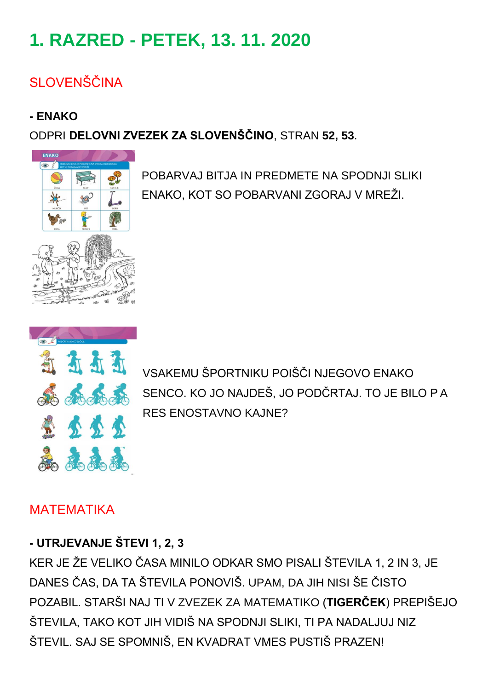# **1. RAZRED - PETEK, 13. 11. 2020**

# SLOVENŠČINA

#### **- ENAKO**

ODPRI **DELOVNI ZVEZEK ZA SLOVENŠČINO**, STRAN **52, 53**.



POBARVAJ BITJA IN PREDMETE NA SPODNJI SLIKI ENAKO, KOT SO POBARVANI ZGORAJ V MREŽI.



VSAKEMU ŠPORTNIKU POIŠČI NJEGOVO ENAKO SENCO. KO JO NAJDEŠ, JO PODČRTAJ. TO JE BILO P A RES ENOSTAVNO KAJNE?

## MATEMATIKA

#### **- UTRJEVANJE ŠTEVI 1, 2, 3**

KER JE ŽE VELIKO ČASA MINILO ODKAR SMO PISALI ŠTEVILA 1, 2 IN 3, JE DANES ČAS, DA TA ŠTEVILA PONOVIŠ. UPAM, DA JIH NISI ŠE ČISTO POZABIL. STARŠI NAJ TI V ZVEZEK ZA MATEMATIKO (**TIGERČEK**) PREPIŠEJO ŠTEVILA, TAKO KOT JIH VIDIŠ NA SPODNJI SLIKI, TI PA NADALJUJ NIZ ŠTEVIL. SAJ SE SPOMNIŠ, EN KVADRAT VMES PUSTIŠ PRAZEN!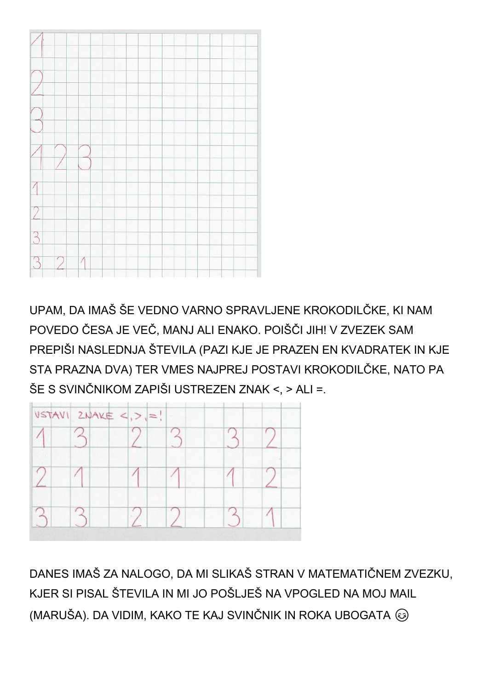

UPAM, DA IMAŠ ŠE VEDNO VARNO SPRAVLJENE KROKODILČKE, KI NAM POVEDO ČESA JE VEČ, MANJ ALI ENAKO. POIŠČI JIH! V ZVEZEK SAM PREPIŠI NASLEDNJA ŠTEVILA (PAZI KJE JE PRAZEN EN KVADRATEK IN KJE STA PRAZNA DVA) TER VMES NAJPREJ POSTAVI KROKODILČKE, NATO PA ŠE S SVINČNIKOM ZAPIŠI USTREZEN ZNAK <, > ALI =.



DANES IMAŠ ZA NALOGO, DA MI SLIKAŠ STRAN V MATEMATIČNEM ZVEZKU, KJER SI PISAL ŠTEVILA IN MI JO POŠLJEŠ NA VPOGLED NA MOJ MAIL (MARUŠA). DA VIDIM, KAKO TE KAJ SVINČNIK IN ROKA UBOGATA @